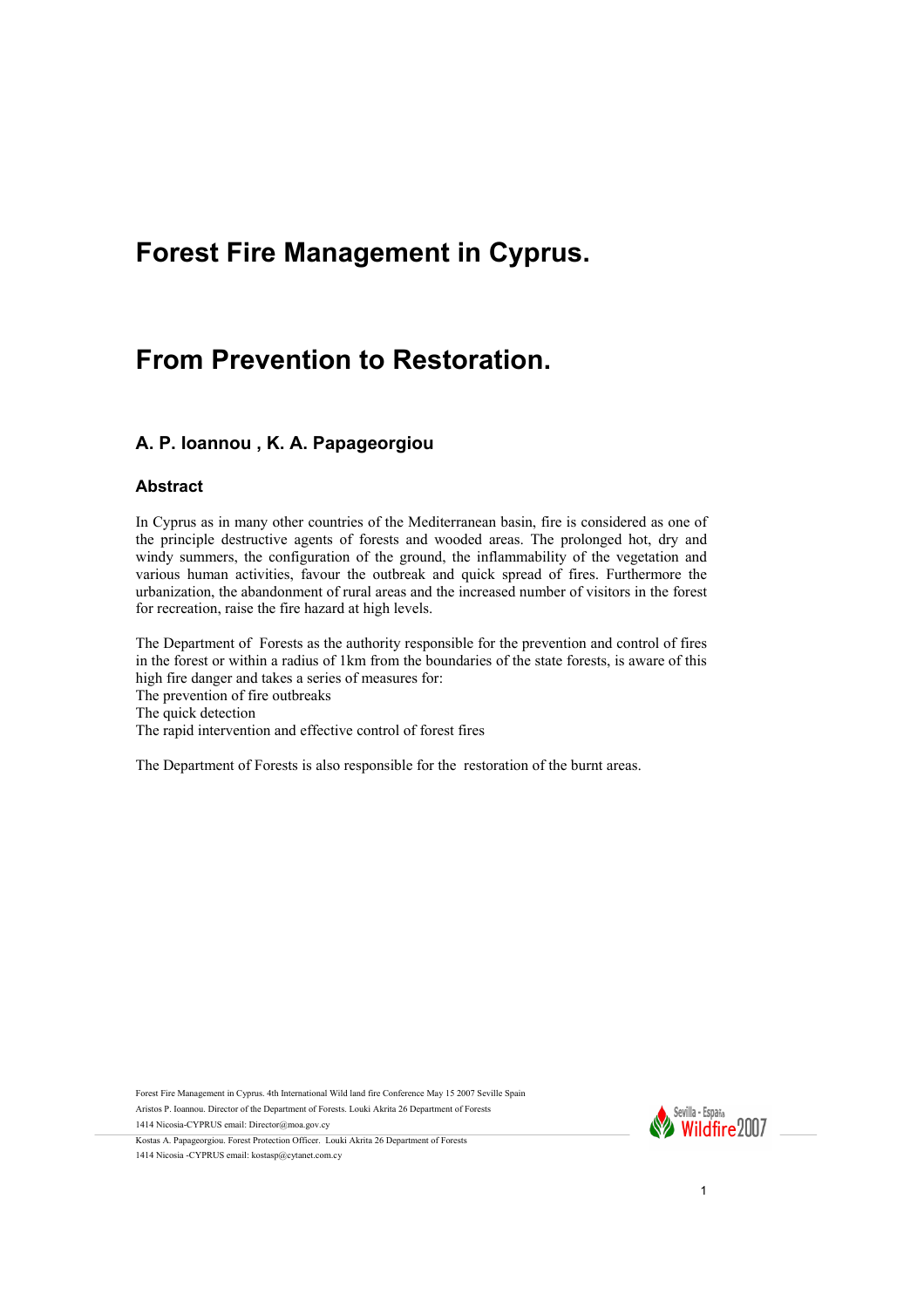# **Forest Fire Management in Cyprus.**

# **From Prevention to Restoration.**

#### **A. P. Ioannou , K. A. Papageorgiou**

#### **Abstract**

In Cyprus as in many other countries of the Mediterranean basin, fire is considered as one of the principle destructive agents of forests and wooded areas. The prolonged hot, dry and windy summers, the configuration of the ground, the inflammability of the vegetation and various human activities, favour the outbreak and quick spread of fires. Furthermore the urbanization, the abandonment of rural areas and the increased number of visitors in the forest for recreation, raise the fire hazard at high levels.

The Department of Forests as the authority responsible for the prevention and control of fires in the forest or within a radius of 1km from the boundaries of the state forests, is aware of this high fire danger and takes a series of measures for: The prevention of fire outbreaks

The quick detection

The rapid intervention and effective control of forest fires

The Department of Forests is also responsible for the restoration of the burnt areas.

Forest Fire Management in Cyprus. 4th International Wild land fire Conference May 15 2007 Seville Spain Aristos P. Ioannou. Director of the Department of Forests. Louki Akrita 26 Department of Forests

1414 Nicosia-CYPRUS email: Director@moa.gov.cy



Kostas A. Papageorgiou. Forest Protection Officer. Louki Akrita 26 Department of Forests 1414 Nicosia -CYPRUS email: kostasp@cytanet.com.cy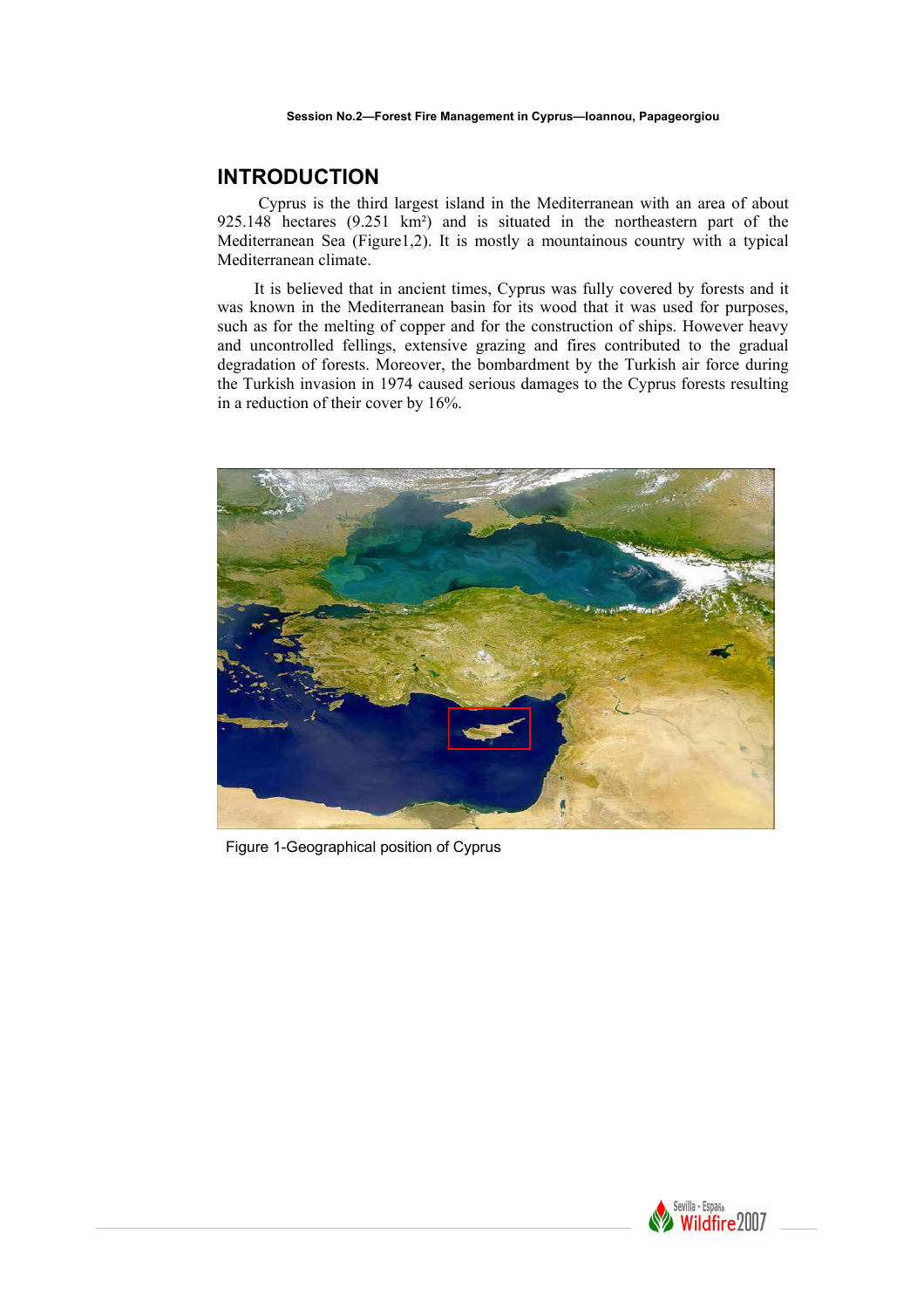# **INTRODUCTION**

 Cyprus is the third largest island in the Mediterranean with an area of about 925.148 hectares (9.251 km²) and is situated in the northeastern part of the Mediterranean Sea (Figure1,2). It is mostly a mountainous country with a typical Mediterranean climate.

 It is believed that in ancient times, Cyprus was fully covered by forests and it was known in the Mediterranean basin for its wood that it was used for purposes, such as for the melting of copper and for the construction of ships. However heavy and uncontrolled fellings, extensive grazing and fires contributed to the gradual degradation of forests. Moreover, the bombardment by the Turkish air force during the Turkish invasion in 1974 caused serious damages to the Cyprus forests resulting in a reduction of their cover by 16%.



Figure 1-Geographical position of Cyprus

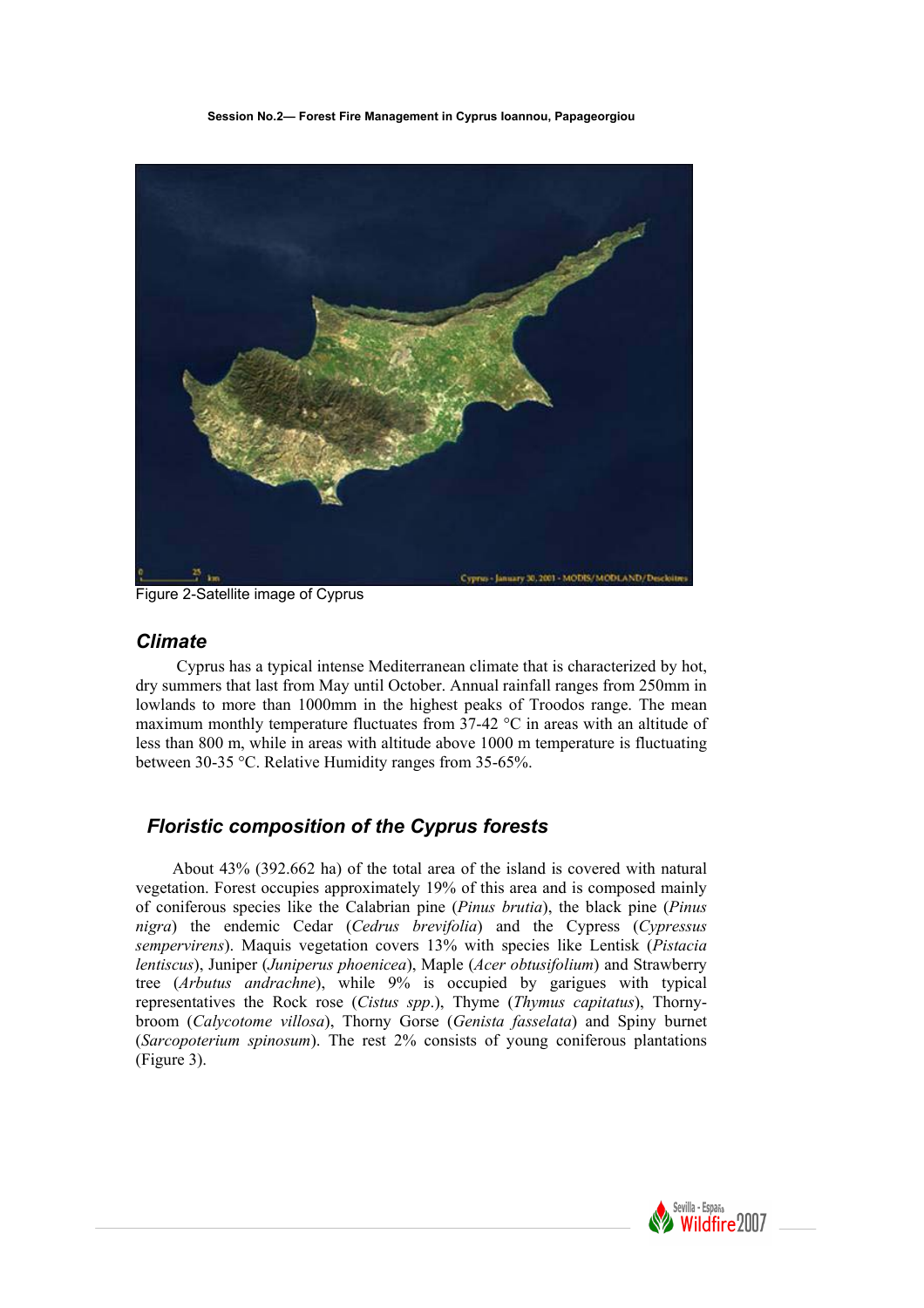**Session No.2— Forest Fire Management in Cyprus Ioannou, Papageorgiou** 



Figure 2-Satellite image of Cyprus

# *Climate*

 Cyprus has a typical intense Mediterranean climate that is characterized by hot, dry summers that last from May until October. Annual rainfall ranges from 250mm in lowlands to more than 1000mm in the highest peaks of Troodos range. The mean maximum monthly temperature fluctuates from  $37-42$  °C in areas with an altitude of less than 800 m, while in areas with altitude above 1000 m temperature is fluctuating between 30-35 °C. Relative Humidity ranges from 35-65%.

# *Floristic composition of the Cyprus forests*

 About 43% (392.662 ha) of the total area of the island is covered with natural vegetation. Forest occupies approximately 19% of this area and is composed mainly of coniferous species like the Calabrian pine (*Pinus brutia*), the black pine (*Pinus nigra*) the endemic Cedar (*Cedrus brevifolia*) and the Cypress (*Cypressus sempervirens*). Maquis vegetation covers 13% with species like Lentisk (*Pistacia lentiscus*), Juniper (*Juniperus phoenicea*), Maple (*Acer obtusifolium*) and Strawberry tree (*Arbutus andrachne*), while 9% is occupied by garigues with typical representatives the Rock rose (*Cistus spp*.), Thyme (*Thymus capitatus*), Thornybroom (*Calycotome villosa*), Thorny Gorse (*Genista fasselata*) and Spiny burnet (*Sarcopoterium spinosum*). The rest 2% consists of young coniferous plantations (Figure 3).

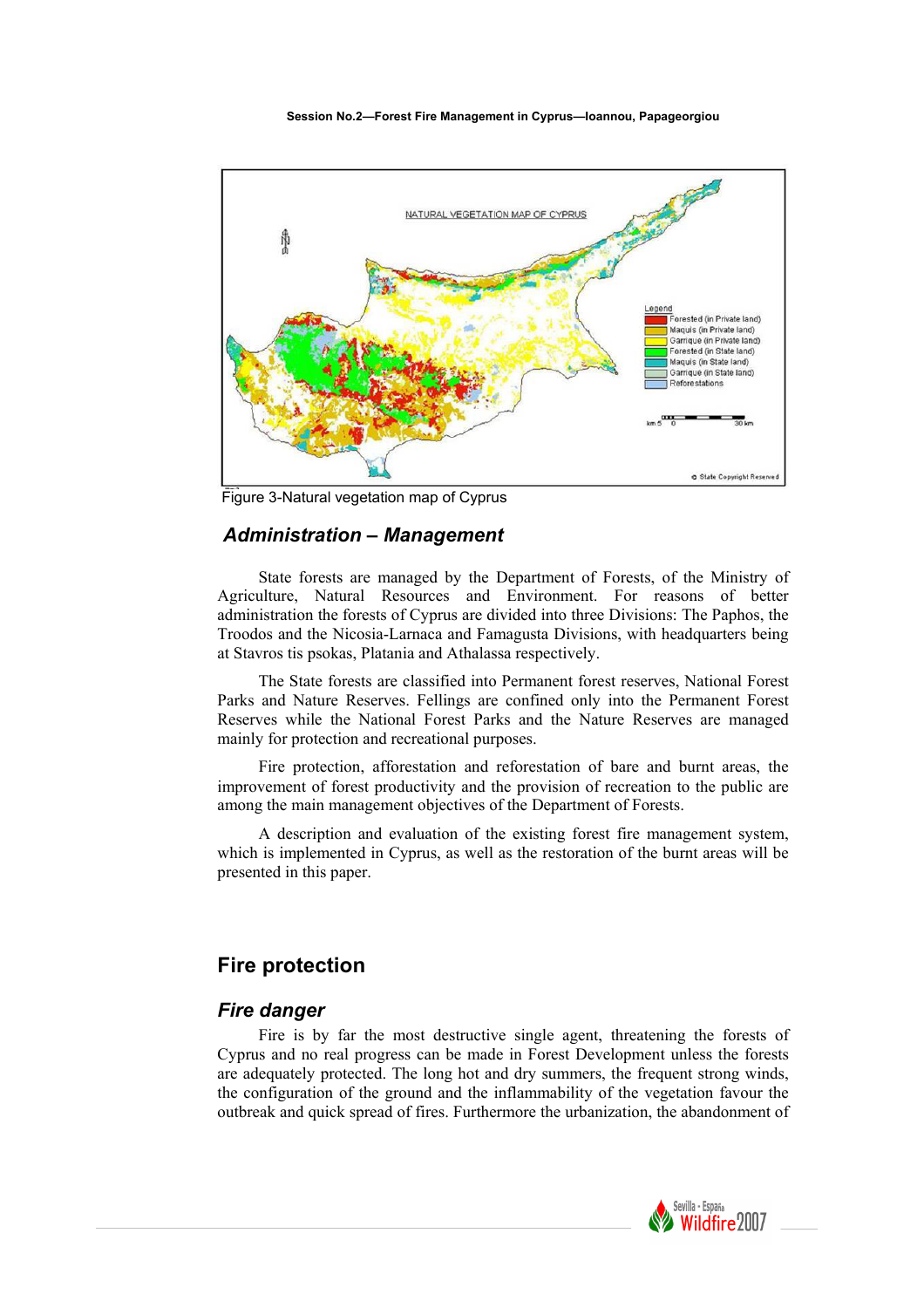#### **Session No.2—Forest Fire Management in Cyprus—Ioannou, Papageorgiou**



Figure 3-Natural vegetation map of Cyprus

#### *Administration – Management*

 State forests are managed by the Department of Forests, of the Ministry of Agriculture, Natural Resources and Environment. For reasons of better administration the forests of Cyprus are divided into three Divisions: The Paphos, the Troodos and the Nicosia-Larnaca and Famagusta Divisions, with headquarters being at Stavros tis psokas, Platania and Athalassa respectively.

 The State forests are classified into Permanent forest reserves, National Forest Parks and Nature Reserves. Fellings are confined only into the Permanent Forest Reserves while the National Forest Parks and the Nature Reserves are managed mainly for protection and recreational purposes.

 Fire protection, afforestation and reforestation of bare and burnt areas, the improvement of forest productivity and the provision of recreation to the public are among the main management objectives of the Department of Forests.

 A description and evaluation of the existing forest fire management system, which is implemented in Cyprus, as well as the restoration of the burnt areas will be presented in this paper.

# **Fire protection**

#### *Fire danger*

 Fire is by far the most destructive single agent, threatening the forests of Cyprus and no real progress can be made in Forest Development unless the forests are adequately protected. The long hot and dry summers, the frequent strong winds, the configuration of the ground and the inflammability of the vegetation favour the outbreak and quick spread of fires. Furthermore the urbanization, the abandonment of

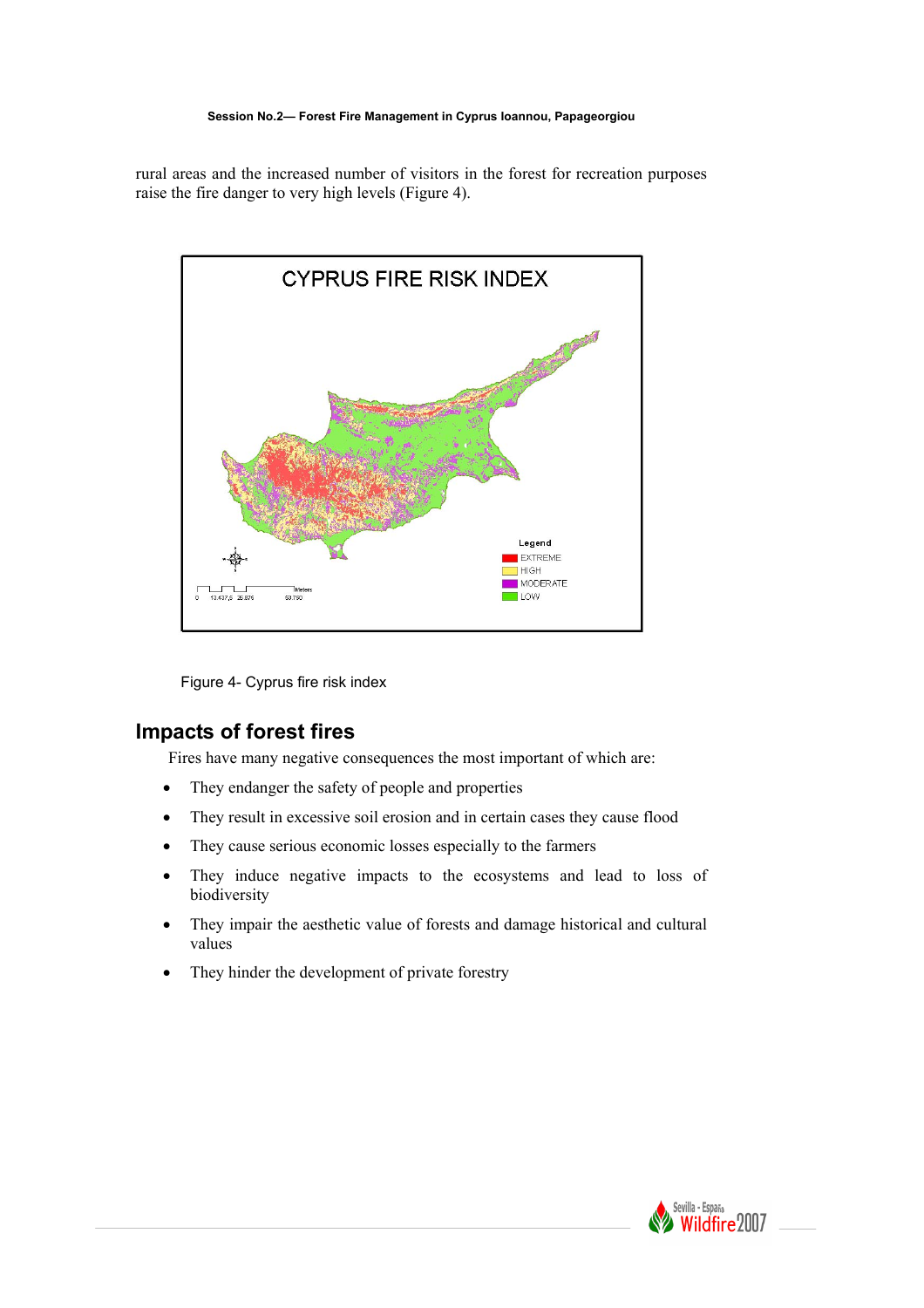#### **Session No.2— Forest Fire Management in Cyprus Ioannou, Papageorgiou**

rural areas and the increased number of visitors in the forest for recreation purposes raise the fire danger to very high levels (Figure 4).



Figure 4- Cyprus fire risk index

# **Impacts of forest fires**

Fires have many negative consequences the most important of which are:

- They endanger the safety of people and properties
- They result in excessive soil erosion and in certain cases they cause flood
- They cause serious economic losses especially to the farmers
- They induce negative impacts to the ecosystems and lead to loss of biodiversity
- They impair the aesthetic value of forests and damage historical and cultural values
- They hinder the development of private forestry

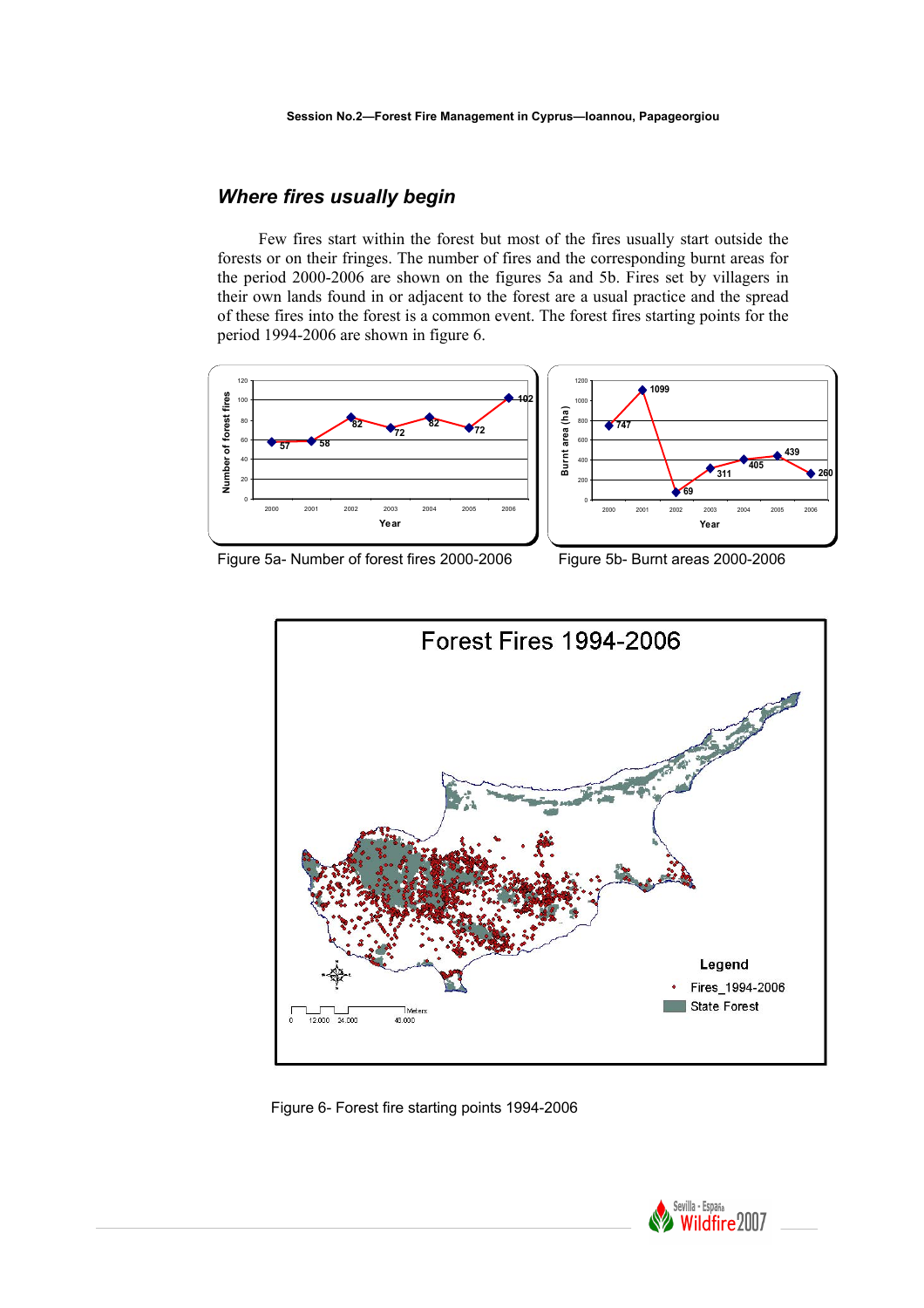# *Where fires usually begin*

 Few fires start within the forest but most of the fires usually start outside the forests or on their fringes. The number of fires and the corresponding burnt areas for the period 2000-2006 are shown on the figures 5a and 5b. Fires set by villagers in their own lands found in or adjacent to the forest are a usual practice and the spread of these fires into the forest is a common event. The forest fires starting points for the period 1994-2006 are shown in figure 6.





Figure 5a- Number of forest fires 2000-2006 Figure 5b- Burnt areas 2000-2006



Figure 6- Forest fire starting points 1994-2006

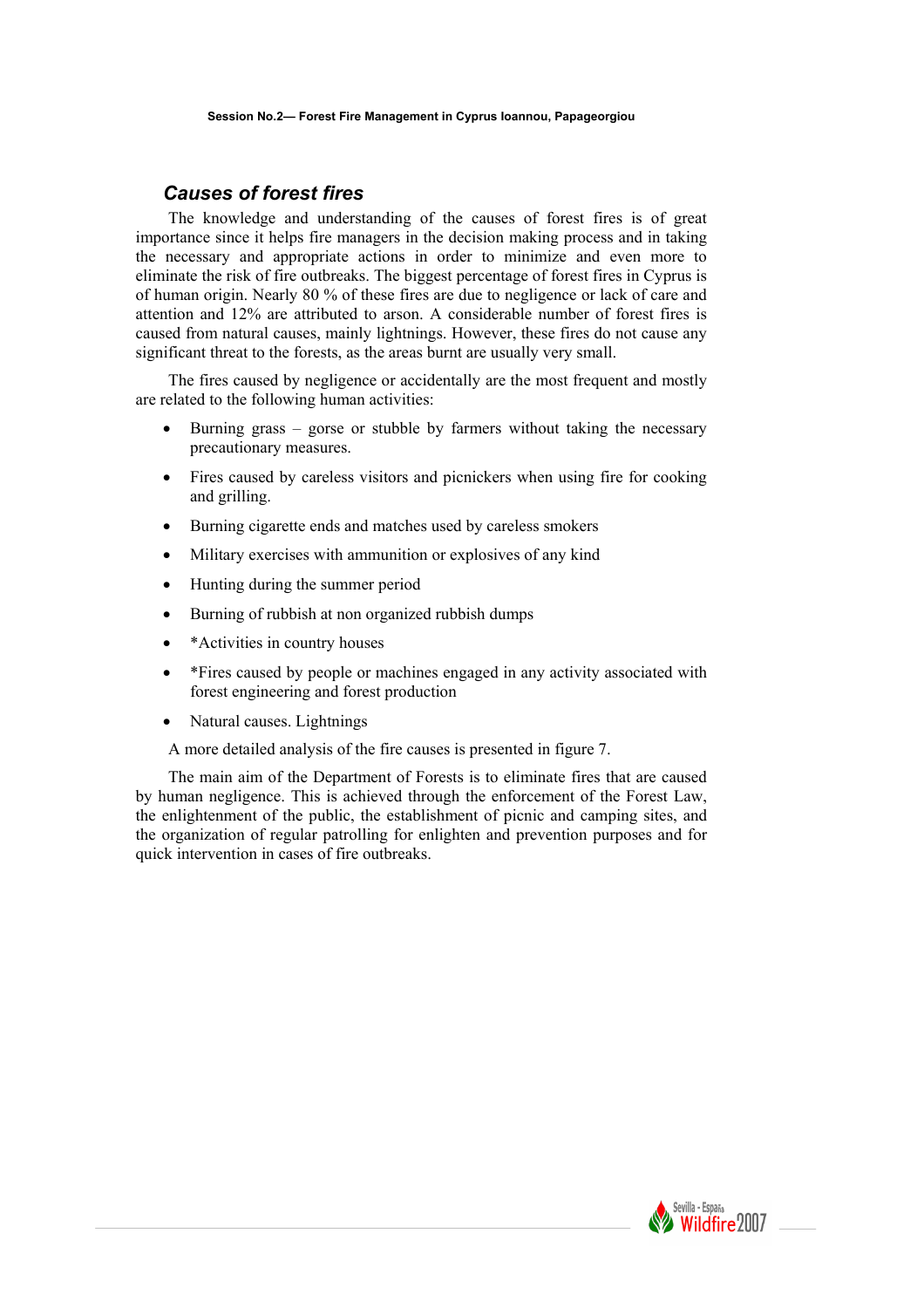#### *Causes of forest fires*

The knowledge and understanding of the causes of forest fires is of great importance since it helps fire managers in the decision making process and in taking the necessary and appropriate actions in order to minimize and even more to eliminate the risk of fire outbreaks. The biggest percentage of forest fires in Cyprus is of human origin. Nearly 80 % of these fires are due to negligence or lack of care and attention and 12% are attributed to arson. A considerable number of forest fires is caused from natural causes, mainly lightnings. However, these fires do not cause any significant threat to the forests, as the areas burnt are usually very small.

The fires caused by negligence or accidentally are the most frequent and mostly are related to the following human activities:

- Burning grass gorse or stubble by farmers without taking the necessary precautionary measures.
- Fires caused by careless visitors and picnickers when using fire for cooking and grilling.
- Burning cigarette ends and matches used by careless smokers
- Military exercises with ammunition or explosives of any kind
- Hunting during the summer period
- Burning of rubbish at non organized rubbish dumps
- \*Activities in country houses
- \* Fires caused by people or machines engaged in any activity associated with forest engineering and forest production
- Natural causes. Lightnings

A more detailed analysis of the fire causes is presented in figure 7.

The main aim of the Department of Forests is to eliminate fires that are caused by human negligence. This is achieved through the enforcement of the Forest Law, the enlightenment of the public, the establishment of picnic and camping sites, and the organization of regular patrolling for enlighten and prevention purposes and for quick intervention in cases of fire outbreaks.

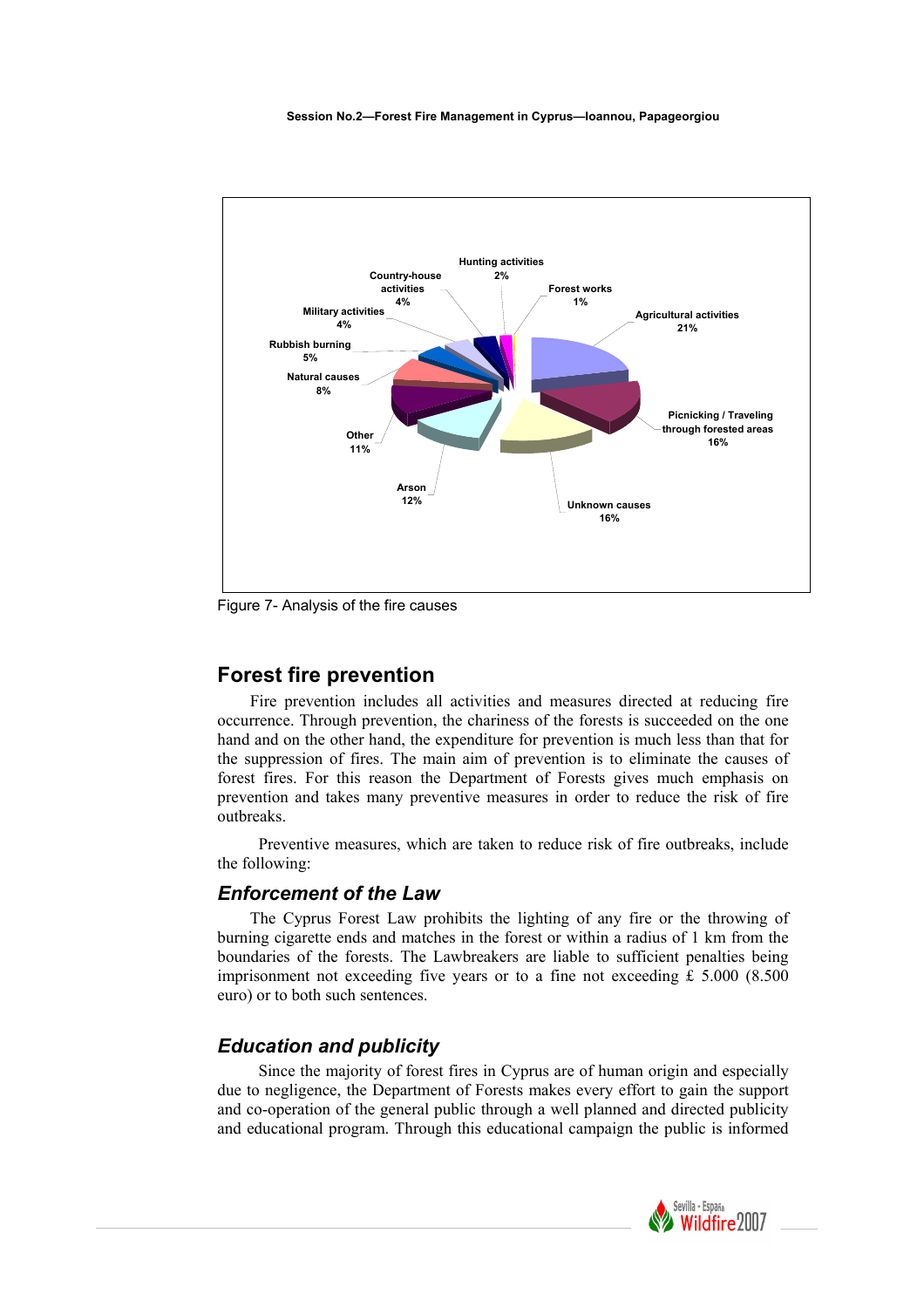

Figure 7- Analysis of the fire causes

# **Forest fire prevention**

Fire prevention includes all activities and measures directed at reducing fire occurrence. Through prevention, the chariness of the forests is succeeded on the one hand and on the other hand, the expenditure for prevention is much less than that for the suppression of fires. The main aim of prevention is to eliminate the causes of forest fires. For this reason the Department of Forests gives much emphasis on prevention and takes many preventive measures in order to reduce the risk of fire outbreaks.

 Preventive measures, which are taken to reduce risk of fire outbreaks, include the following:

#### *Enforcement of the Law*

The Cyprus Forest Law prohibits the lighting of any fire or the throwing of burning cigarette ends and matches in the forest or within a radius of 1 km from the boundaries of the forests. The Lawbreakers are liable to sufficient penalties being imprisonment not exceeding five years or to a fine not exceeding £ 5.000 (8.500 euro) or to both such sentences.

#### *Education and publicity*

 Since the majority of forest fires in Cyprus are of human origin and especially due to negligence, the Department of Forests makes every effort to gain the support and co-operation of the general public through a well planned and directed publicity and educational program. Through this educational campaign the public is informed

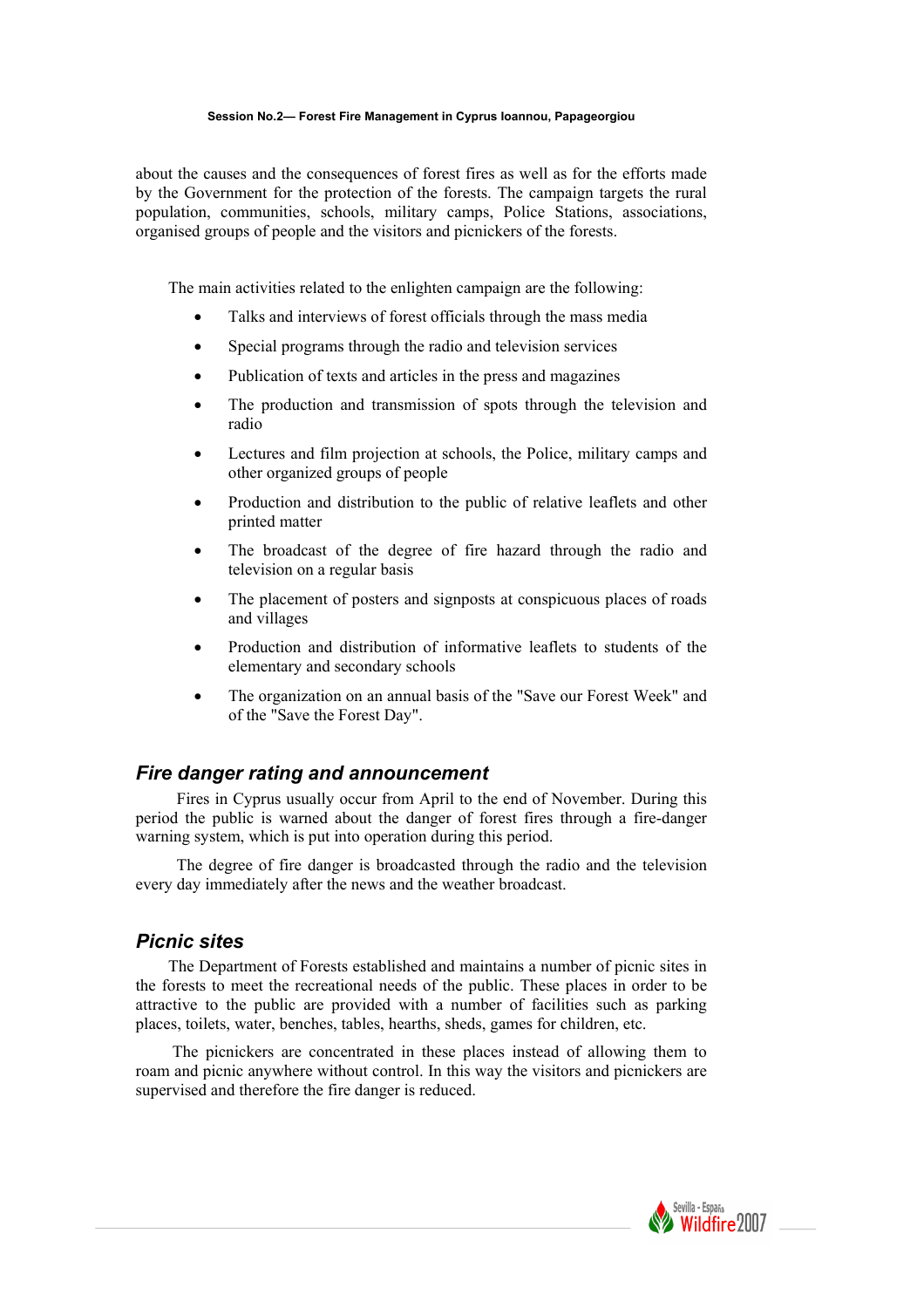#### **Session No.2— Forest Fire Management in Cyprus Ioannou, Papageorgiou**

about the causes and the consequences of forest fires as well as for the efforts made by the Government for the protection of the forests. The campaign targets the rural population, communities, schools, military camps, Police Stations, associations, organised groups of people and the visitors and picnickers of the forests.

The main activities related to the enlighten campaign are the following:

- Talks and interviews of forest officials through the mass media
- Special programs through the radio and television services
- Publication of texts and articles in the press and magazines
- The production and transmission of spots through the television and radio
- Lectures and film projection at schools, the Police, military camps and other organized groups of people
- Production and distribution to the public of relative leaflets and other printed matter
- The broadcast of the degree of fire hazard through the radio and television on a regular basis
- The placement of posters and signposts at conspicuous places of roads and villages
- Production and distribution of informative leaflets to students of the elementary and secondary schools
- The organization on an annual basis of the "Save our Forest Week" and of the "Save the Forest Day".

#### *Fire danger rating and announcement*

 Fires in Cyprus usually occur from April to the end of November. During this period the public is warned about the danger of forest fires through a fire-danger warning system, which is put into operation during this period.

 The degree of fire danger is broadcasted through the radio and the television every day immediately after the news and the weather broadcast.

#### *Picnic sites*

The Department of Forests established and maintains a number of picnic sites in the forests to meet the recreational needs of the public. These places in order to be attractive to the public are provided with a number of facilities such as parking places, toilets, water, benches, tables, hearths, sheds, games for children, etc.

 The picnickers are concentrated in these places instead of allowing them to roam and picnic anywhere without control. In this way the visitors and picnickers are supervised and therefore the fire danger is reduced.

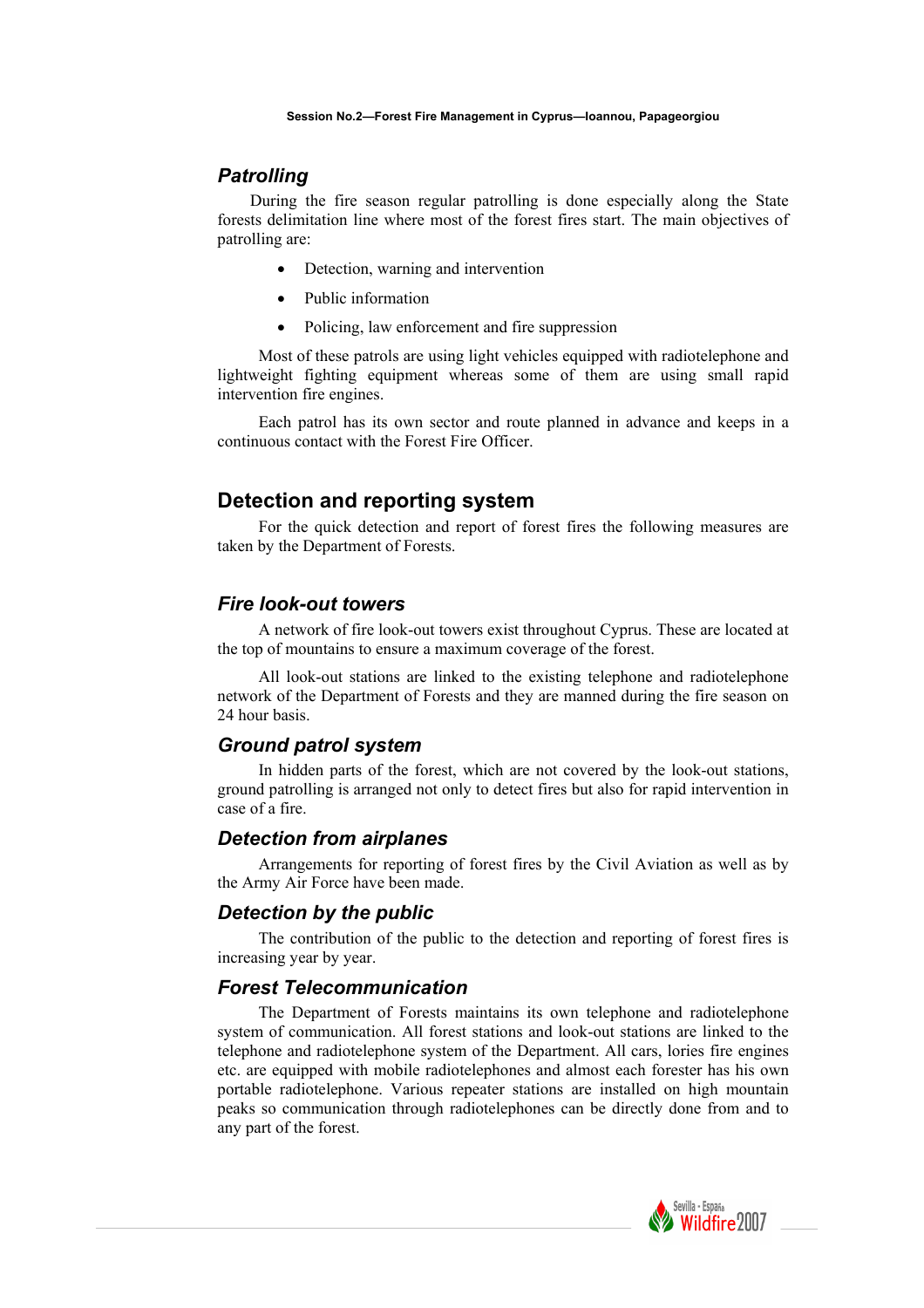#### *Patrolling*

During the fire season regular patrolling is done especially along the State forests delimitation line where most of the forest fires start. The main objectives of patrolling are:

- Detection, warning and intervention
- Public information
- Policing, law enforcement and fire suppression

 Most of these patrols are using light vehicles equipped with radiotelephone and lightweight fighting equipment whereas some of them are using small rapid intervention fire engines.

 Each patrol has its own sector and route planned in advance and keeps in a continuous contact with the Forest Fire Officer.

# **Detection and reporting system**

 For the quick detection and report of forest fires the following measures are taken by the Department of Forests.

#### *Fire look-out towers*

 A network of fire look-out towers exist throughout Cyprus. These are located at the top of mountains to ensure a maximum coverage of the forest.

 All look-out stations are linked to the existing telephone and radiotelephone network of the Department of Forests and they are manned during the fire season on 24 hour basis.

#### *Ground patrol system*

 In hidden parts of the forest, which are not covered by the look-out stations, ground patrolling is arranged not only to detect fires but also for rapid intervention in case of a fire.

#### *Detection from airplanes*

 Arrangements for reporting of forest fires by the Civil Aviation as well as by the Army Air Force have been made.

#### *Detection by the public*

 The contribution of the public to the detection and reporting of forest fires is increasing year by year.

#### *Forest Telecommunication*

 The Department of Forests maintains its own telephone and radiotelephone system of communication. All forest stations and look-out stations are linked to the telephone and radiotelephone system of the Department. All cars, lories fire engines etc. are equipped with mobile radiotelephones and almost each forester has his own portable radiotelephone. Various repeater stations are installed on high mountain peaks so communication through radiotelephones can be directly done from and to any part of the forest.

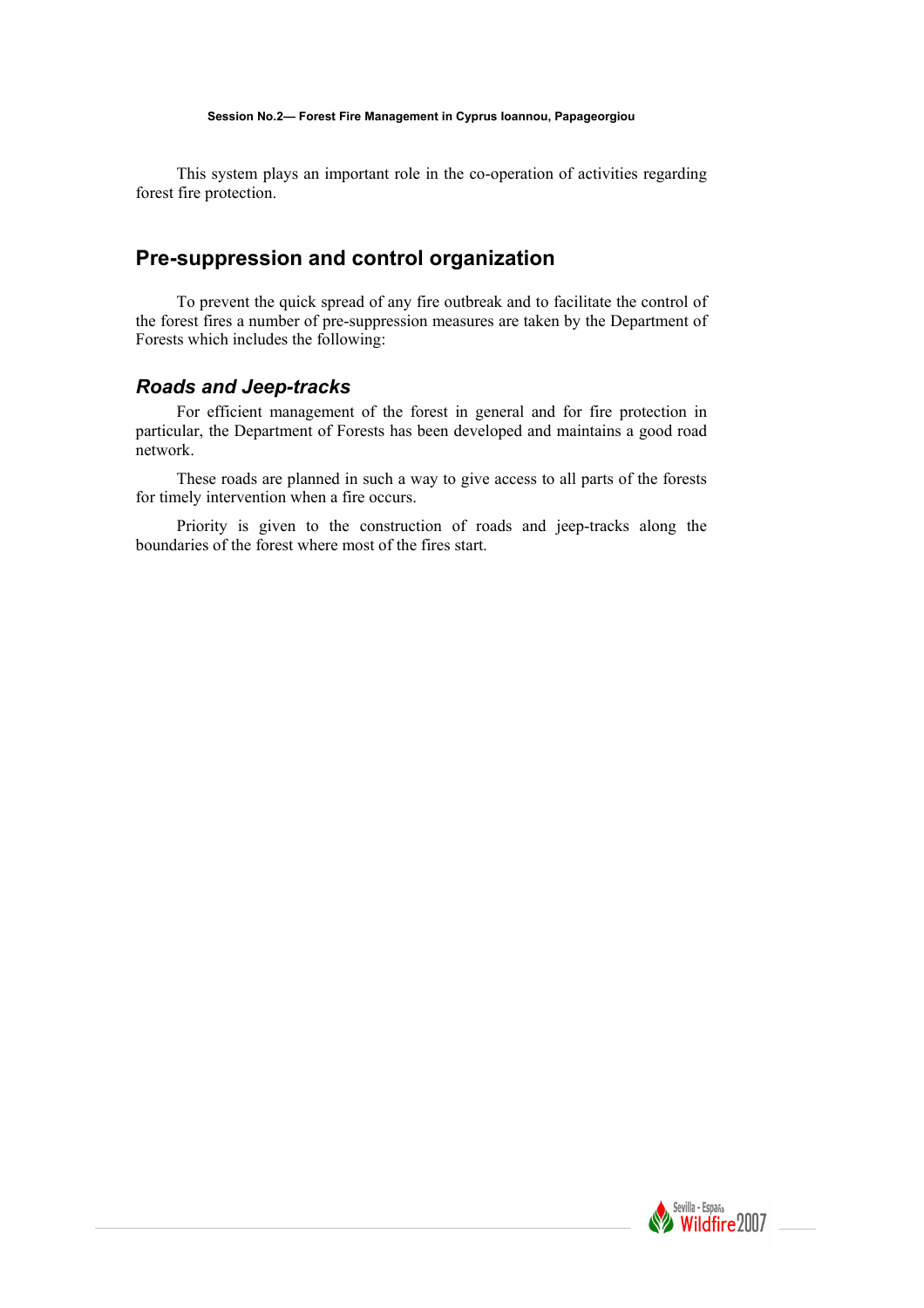This system plays an important role in the co-operation of activities regarding forest fire protection.

# **Pre-suppression and control organization**

 To prevent the quick spread of any fire outbreak and to facilitate the control of the forest fires a number of pre-suppression measures are taken by the Department of Forests which includes the following:

#### *Roads and Jeep-tracks*

 For efficient management of the forest in general and for fire protection in particular, the Department of Forests has been developed and maintains a good road network.

 These roads are planned in such a way to give access to all parts of the forests for timely intervention when a fire occurs.

 Priority is given to the construction of roads and jeep-tracks along the boundaries of the forest where most of the fires start.

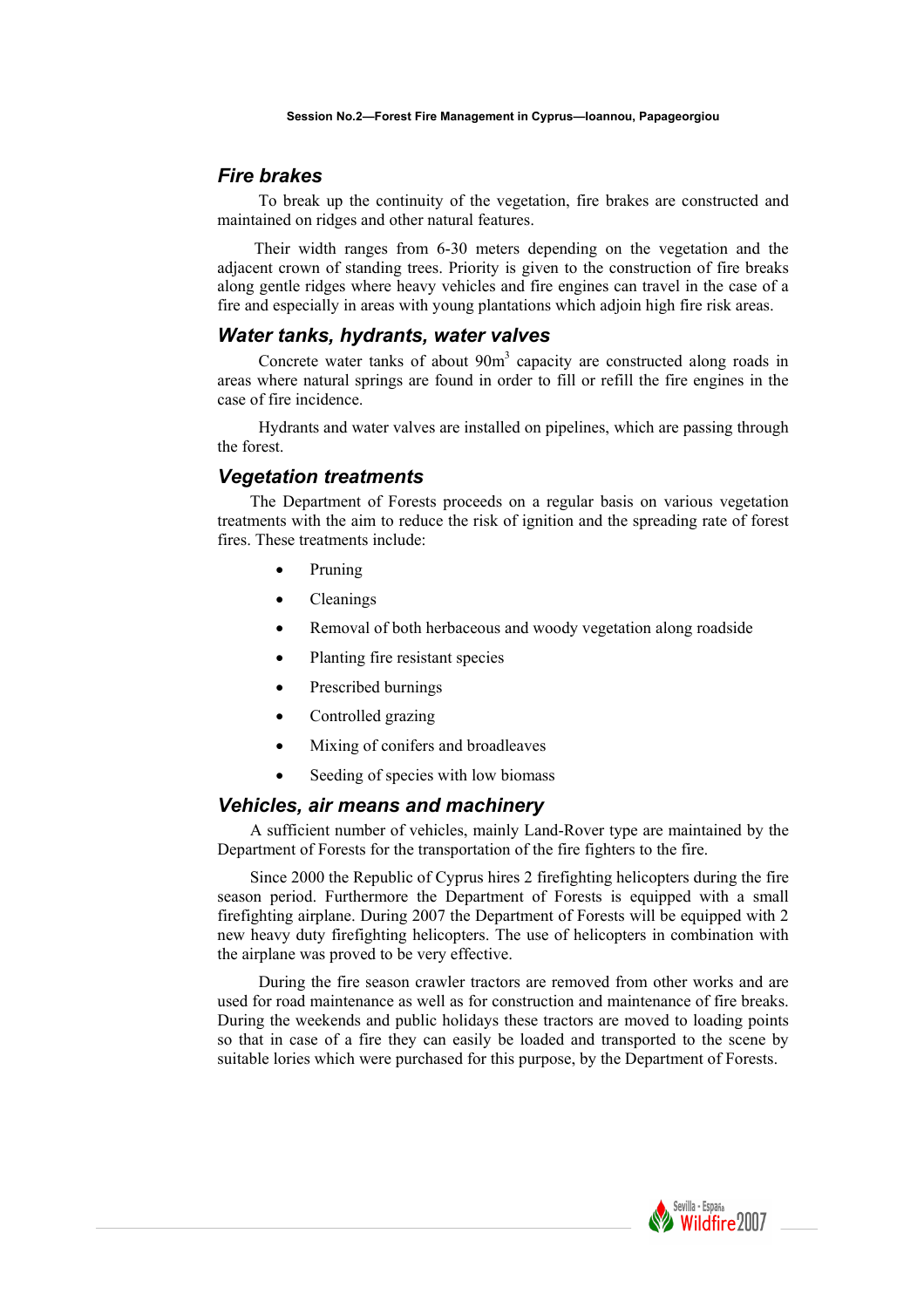#### *Fire brakes*

 To break up the continuity of the vegetation, fire brakes are constructed and maintained on ridges and other natural features.

 Their width ranges from 6-30 meters depending on the vegetation and the adjacent crown of standing trees. Priority is given to the construction of fire breaks along gentle ridges where heavy vehicles and fire engines can travel in the case of a fire and especially in areas with young plantations which adjoin high fire risk areas.

#### *Water tanks, hydrants, water valves*

Concrete water tanks of about 90m<sup>3</sup> capacity are constructed along roads in areas where natural springs are found in order to fill or refill the fire engines in the case of fire incidence.

 Hydrants and water valves are installed on pipelines, which are passing through the forest.

#### *Vegetation treatments*

The Department of Forests proceeds on a regular basis on various vegetation treatments with the aim to reduce the risk of ignition and the spreading rate of forest fires. These treatments include:

- Pruning
- Cleanings
- Removal of both herbaceous and woody vegetation along roadside
- Planting fire resistant species
- Prescribed burnings
- Controlled grazing
- Mixing of conifers and broadleaves
- Seeding of species with low biomass

#### *Vehicles, air means and machinery*

A sufficient number of vehicles, mainly Land-Rover type are maintained by the Department of Forests for the transportation of the fire fighters to the fire.

Since 2000 the Republic of Cyprus hires 2 firefighting helicopters during the fire season period. Furthermore the Department of Forests is equipped with a small firefighting airplane. During 2007 the Department of Forests will be equipped with 2 new heavy duty firefighting helicopters. The use of helicopters in combination with the airplane was proved to be very effective.

 During the fire season crawler tractors are removed from other works and are used for road maintenance as well as for construction and maintenance of fire breaks. During the weekends and public holidays these tractors are moved to loading points so that in case of a fire they can easily be loaded and transported to the scene by suitable lories which were purchased for this purpose, by the Department of Forests.

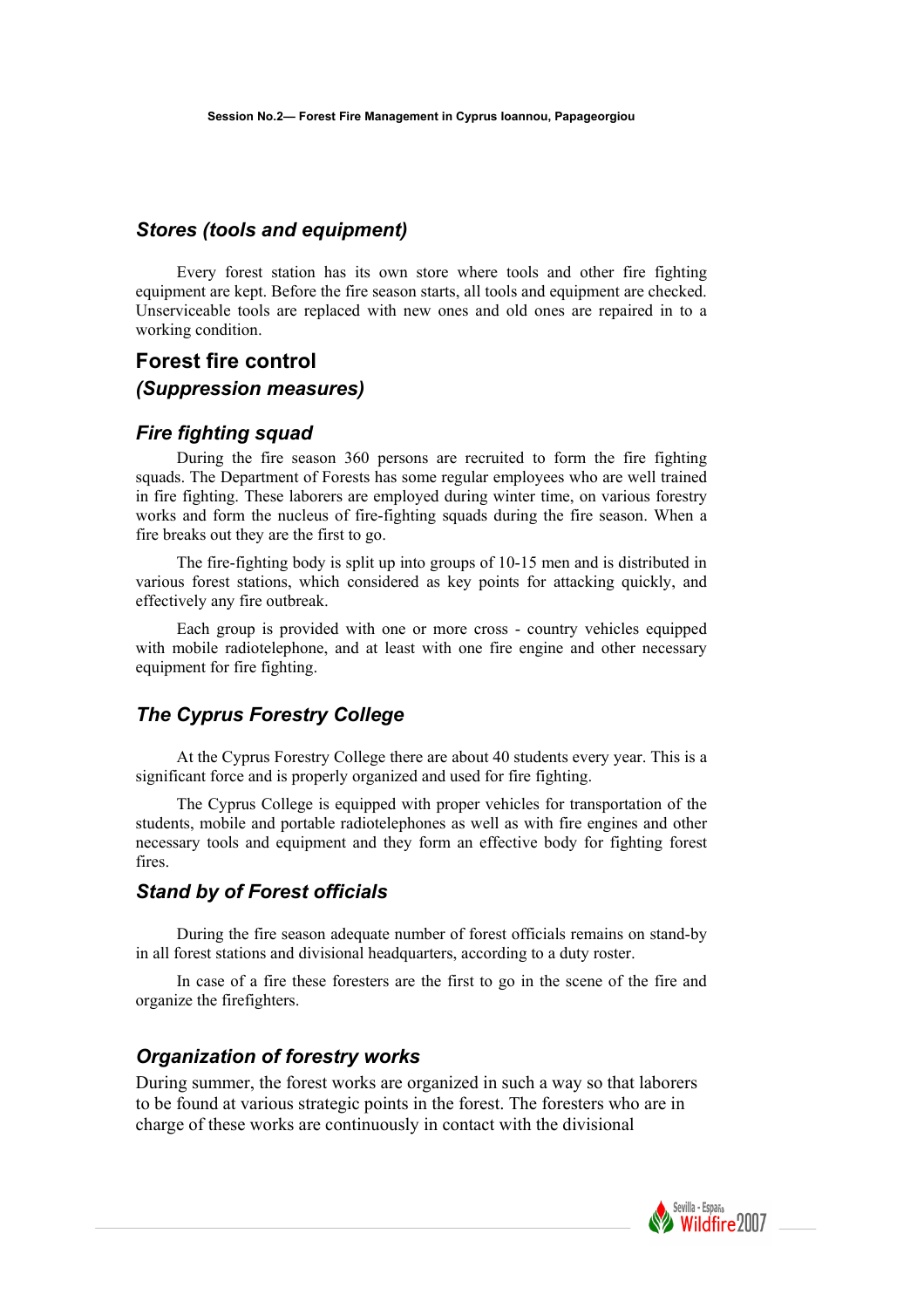# *Stores (tools and equipment)*

 Every forest station has its own store where tools and other fire fighting equipment are kept. Before the fire season starts, all tools and equipment are checked. Unserviceable tools are replaced with new ones and old ones are repaired in to a working condition.

# **Forest fire control**

#### *(Suppression measures)*

### *Fire fighting squad*

 During the fire season 360 persons are recruited to form the fire fighting squads. The Department of Forests has some regular employees who are well trained in fire fighting. These laborers are employed during winter time, on various forestry works and form the nucleus of fire-fighting squads during the fire season. When a fire breaks out they are the first to go.

 The fire-fighting body is split up into groups of 10-15 men and is distributed in various forest stations, which considered as key points for attacking quickly, and effectively any fire outbreak.

 Each group is provided with one or more cross - country vehicles equipped with mobile radiotelephone, and at least with one fire engine and other necessary equipment for fire fighting.

# *The Cyprus Forestry College*

 At the Cyprus Forestry College there are about 40 students every year. This is a significant force and is properly organized and used for fire fighting.

 The Cyprus College is equipped with proper vehicles for transportation of the students, mobile and portable radiotelephones as well as with fire engines and other necessary tools and equipment and they form an effective body for fighting forest fires.

# *Stand by of Forest officials*

 During the fire season adequate number of forest officials remains on stand-by in all forest stations and divisional headquarters, according to a duty roster.

 In case of a fire these foresters are the first to go in the scene of the fire and organize the firefighters.

# *Organization of forestry works*

During summer, the forest works are organized in such a way so that laborers to be found at various strategic points in the forest. The foresters who are in charge of these works are continuously in contact with the divisional

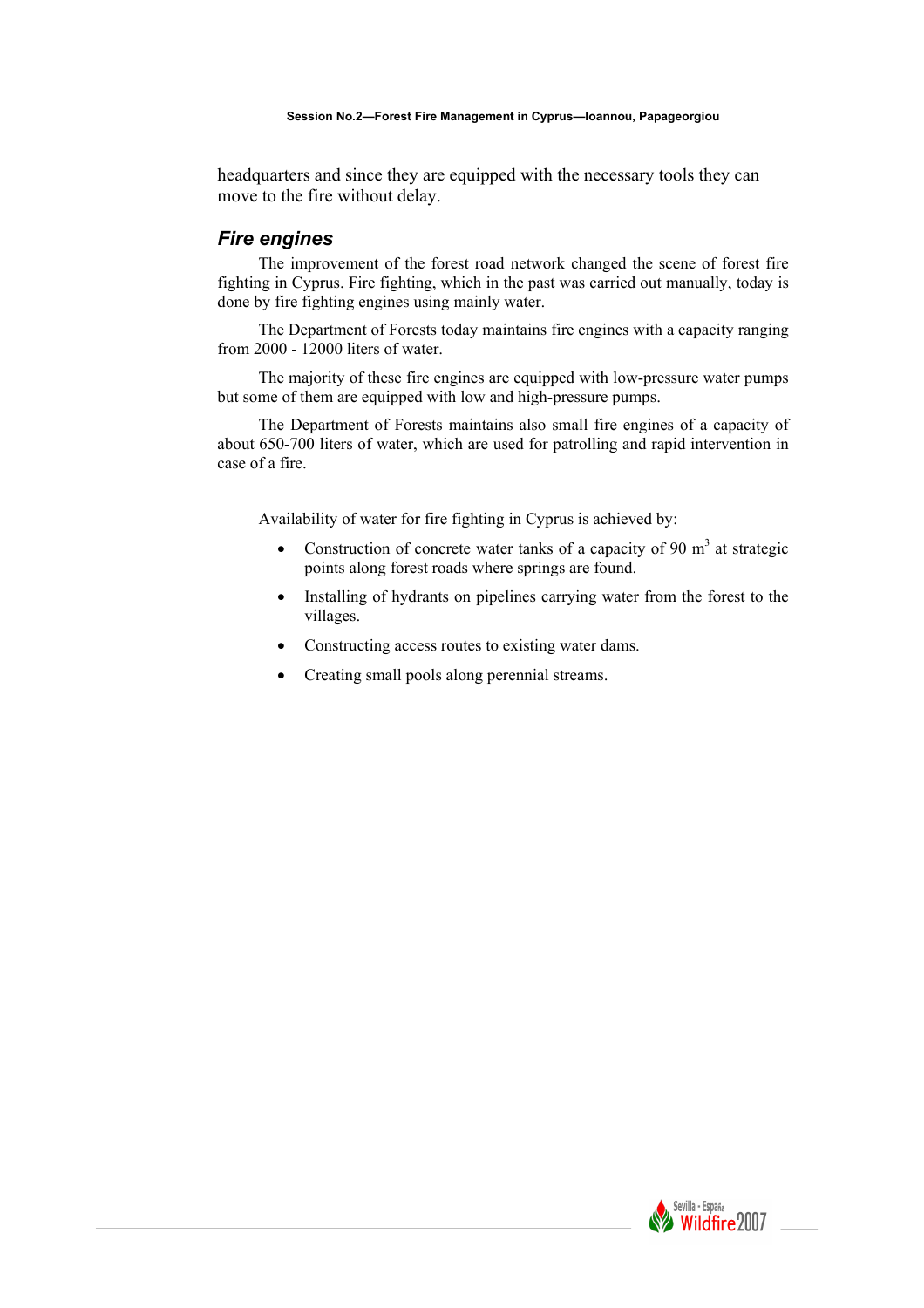headquarters and since they are equipped with the necessary tools they can move to the fire without delay.

### *Fire engines*

 The improvement of the forest road network changed the scene of forest fire fighting in Cyprus. Fire fighting, which in the past was carried out manually, today is done by fire fighting engines using mainly water.

 The Department of Forests today maintains fire engines with a capacity ranging from 2000 - 12000 liters of water.

 The majority of these fire engines are equipped with low-pressure water pumps but some of them are equipped with low and high-pressure pumps.

 The Department of Forests maintains also small fire engines of a capacity of about 650-700 liters of water, which are used for patrolling and rapid intervention in case of a fire.

Availability of water for fire fighting in Cyprus is achieved by:

- Construction of concrete water tanks of a capacity of 90  $m<sup>3</sup>$  at strategic points along forest roads where springs are found.
- Installing of hydrants on pipelines carrying water from the forest to the villages.
- Constructing access routes to existing water dams.
- Creating small pools along perennial streams.

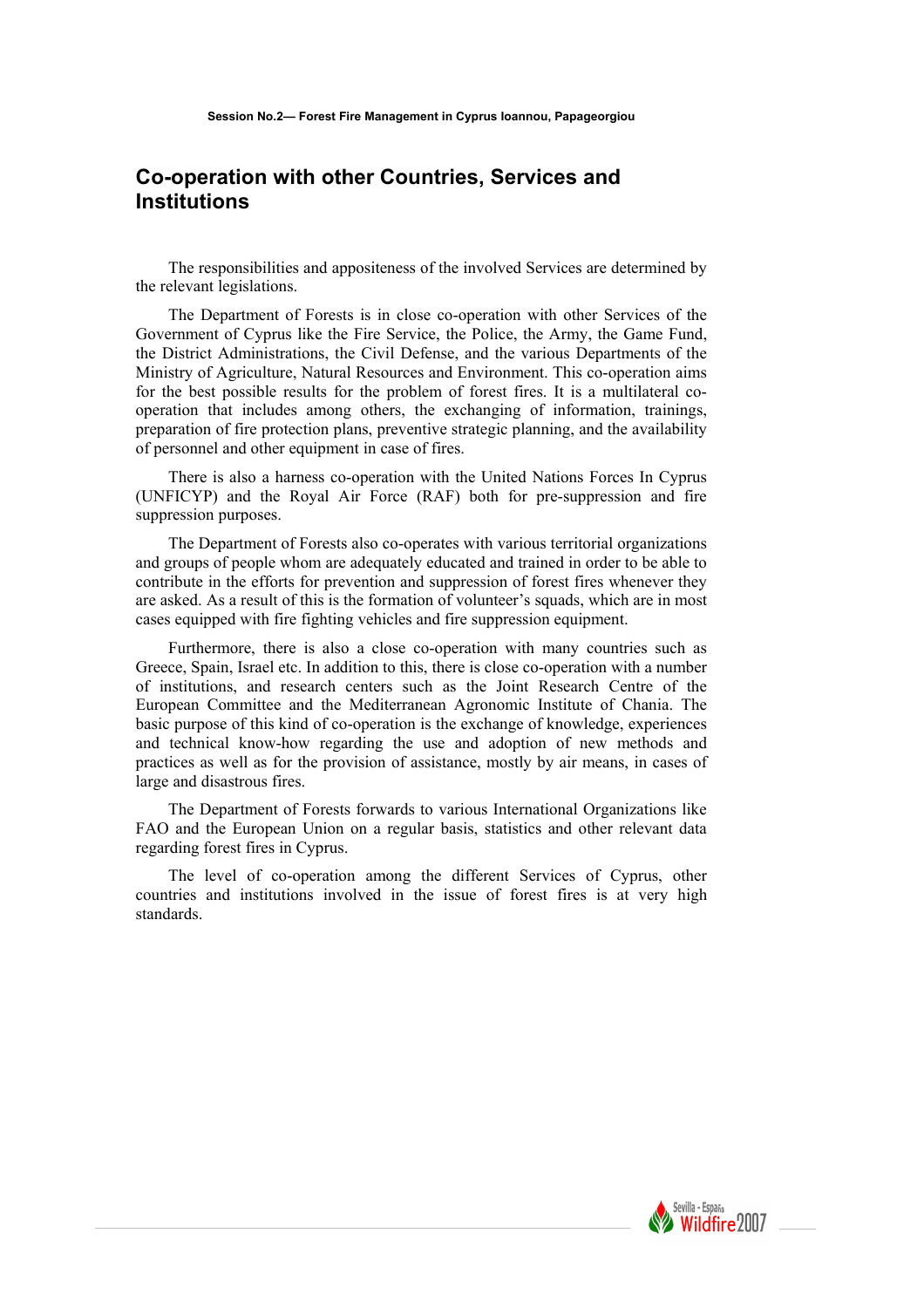# **Co-operation with other Countries, Services and Institutions**

The responsibilities and appositeness of the involved Services are determined by the relevant legislations.

The Department of Forests is in close co-operation with other Services of the Government of Cyprus like the Fire Service, the Police, the Army, the Game Fund, the District Administrations, the Civil Defense, and the various Departments of the Ministry of Agriculture, Natural Resources and Environment. This co-operation aims for the best possible results for the problem of forest fires. It is a multilateral cooperation that includes among others, the exchanging of information, trainings, preparation of fire protection plans, preventive strategic planning, and the availability of personnel and other equipment in case of fires.

There is also a harness co-operation with the United Nations Forces In Cyprus (UNFICYP) and the Royal Air Force (RAF) both for pre-suppression and fire suppression purposes.

The Department of Forests also co-operates with various territorial organizations and groups of people whom are adequately educated and trained in order to be able to contribute in the efforts for prevention and suppression of forest fires whenever they are asked. As a result of this is the formation of volunteer's squads, which are in most cases equipped with fire fighting vehicles and fire suppression equipment.

Furthermore, there is also a close co-operation with many countries such as Greece, Spain, Israel etc. In addition to this, there is close co-operation with a number of institutions, and research centers such as the Joint Research Centre of the European Committee and the Mediterranean Agronomic Institute of Chania. The basic purpose of this kind of co-operation is the exchange of knowledge, experiences and technical know-how regarding the use and adoption of new methods and practices as well as for the provision of assistance, mostly by air means, in cases of large and disastrous fires.

The Department of Forests forwards to various International Organizations like FAO and the European Union on a regular basis, statistics and other relevant data regarding forest fires in Cyprus.

The level of co-operation among the different Services of Cyprus, other countries and institutions involved in the issue of forest fires is at very high standards.

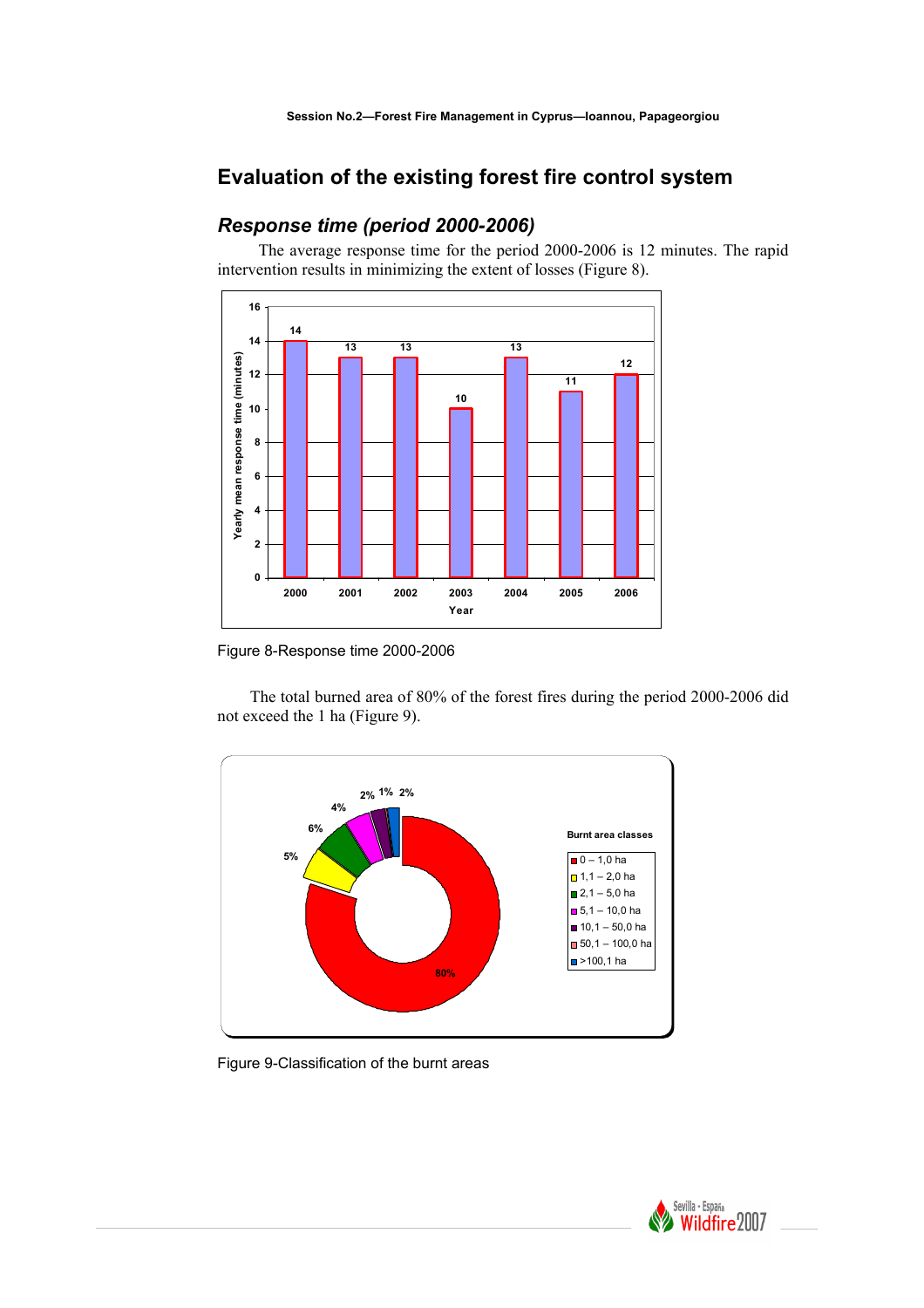# **Evaluation of the existing forest fire control system**

# *Response time (period 2000-2006)*

 The average response time for the period 2000-2006 is 12 minutes. The rapid intervention results in minimizing the extent of losses (Figure 8).



Figure 8-Response time 2000-2006

The total burned area of 80% of the forest fires during the period 2000-2006 did not exceed the 1 ha (Figure 9).



Figure 9-Classification of the burnt areas